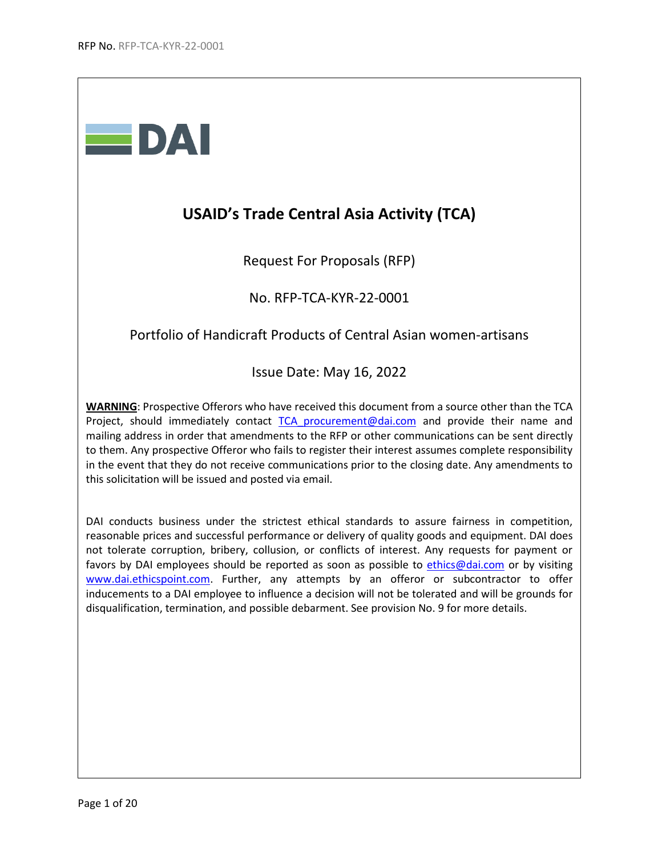

# **USAID's Trade Central Asia Activity (TCA)**

Request For Proposals (RFP)

No. RFP-TCA-KYR-22-0001

## Portfolio of Handicraft Products of Central Asian women-artisans

Issue Date: May 16, 2022

**WARNING**: Prospective Offerors who have received this document from a source other than the TCA Project, should immediately contact [TCA\\_procurement@dai.com](mailto:TCA_procurement@dai.com) and provide their name and mailing address in order that amendments to the RFP or other communications can be sent directly to them. Any prospective Offeror who fails to register their interest assumes complete responsibility in the event that they do not receive communications prior to the closing date. Any amendments to this solicitation will be issued and posted via email.

DAI conducts business under the strictest ethical standards to assure fairness in competition, reasonable prices and successful performance or delivery of quality goods and equipment. DAI does not tolerate corruption, bribery, collusion, or conflicts of interest. Any requests for payment or favors by DAI employees should be reported as soon as possible to [ethics@dai.com](mailto:ethics@dai.com) or by visiting [www.dai.ethicspoint.com.](http://www.dai.ethicspoint.com/) Further, any attempts by an offeror or subcontractor to offer inducements to a DAI employee to influence a decision will not be tolerated and will be grounds for disqualification, termination, and possible debarment. See provision No. 9 for more details.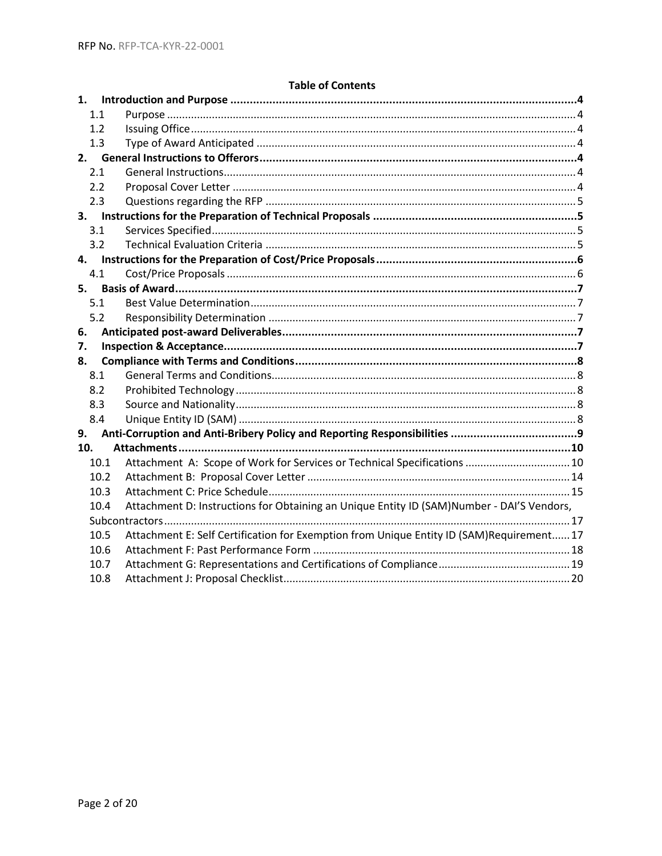| <b>Table of Contents</b> |
|--------------------------|
|--------------------------|

| 1.1  |                                                                                           |
|------|-------------------------------------------------------------------------------------------|
| 1.2  |                                                                                           |
| 1.3  |                                                                                           |
|      |                                                                                           |
| 2.1  |                                                                                           |
| 2.2  |                                                                                           |
| 2.3  |                                                                                           |
|      |                                                                                           |
| 3.1  |                                                                                           |
| 3.2  |                                                                                           |
|      |                                                                                           |
| 4.1  |                                                                                           |
| 5.   |                                                                                           |
| 5.1  |                                                                                           |
| 5.2  |                                                                                           |
| 6.   |                                                                                           |
| 7.   |                                                                                           |
| 8.   |                                                                                           |
| 8.1  |                                                                                           |
| 8.2  |                                                                                           |
| 8.3  |                                                                                           |
| 8.4  |                                                                                           |
| 9.   |                                                                                           |
| 10.  |                                                                                           |
| 10.1 | Attachment A: Scope of Work for Services or Technical Specifications  10                  |
| 10.2 |                                                                                           |
| 10.3 |                                                                                           |
| 10.4 | Attachment D: Instructions for Obtaining an Unique Entity ID (SAM)Number - DAI'S Vendors, |
|      |                                                                                           |
| 10.5 | Attachment E: Self Certification for Exemption from Unique Entity ID (SAM)Requirement 17  |
| 10.6 |                                                                                           |
| 10.7 |                                                                                           |
| 10.8 |                                                                                           |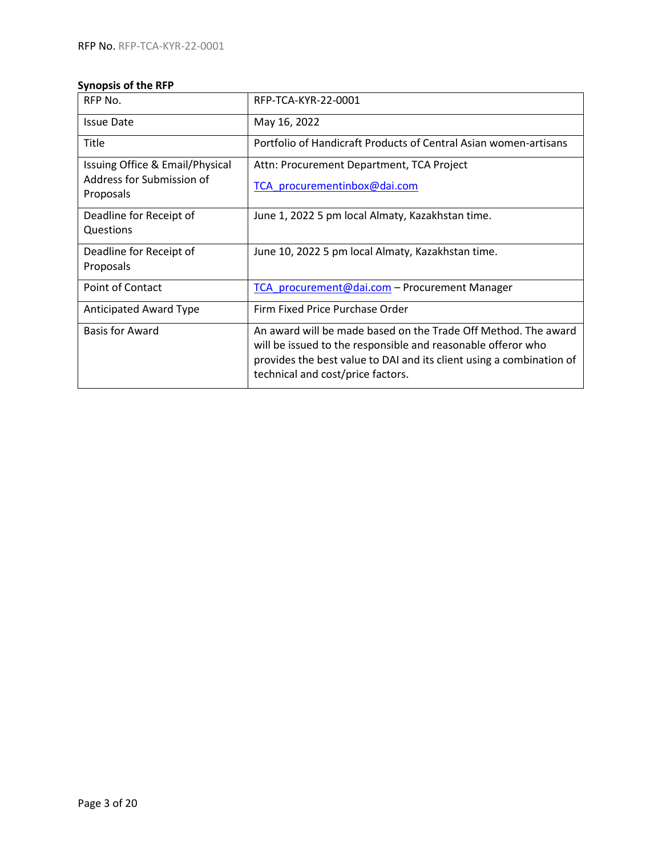## **Synopsis of the RFP**

| RFP No.                                | RFP-TCA-KYR-22-0001                                                                                                                                                                                                                         |
|----------------------------------------|---------------------------------------------------------------------------------------------------------------------------------------------------------------------------------------------------------------------------------------------|
| <b>Issue Date</b>                      | May 16, 2022                                                                                                                                                                                                                                |
| <b>Title</b>                           | Portfolio of Handicraft Products of Central Asian women-artisans                                                                                                                                                                            |
| Issuing Office & Email/Physical        | Attn: Procurement Department, TCA Project                                                                                                                                                                                                   |
| Address for Submission of<br>Proposals | TCA procurementinbox@dai.com                                                                                                                                                                                                                |
| Deadline for Receipt of<br>Questions   | June 1, 2022 5 pm local Almaty, Kazakhstan time.                                                                                                                                                                                            |
| Deadline for Receipt of<br>Proposals   | June 10, 2022 5 pm local Almaty, Kazakhstan time.                                                                                                                                                                                           |
| Point of Contact                       | TCA procurement@dai.com - Procurement Manager                                                                                                                                                                                               |
| <b>Anticipated Award Type</b>          | Firm Fixed Price Purchase Order                                                                                                                                                                                                             |
| <b>Basis for Award</b>                 | An award will be made based on the Trade Off Method. The award<br>will be issued to the responsible and reasonable offeror who<br>provides the best value to DAI and its client using a combination of<br>technical and cost/price factors. |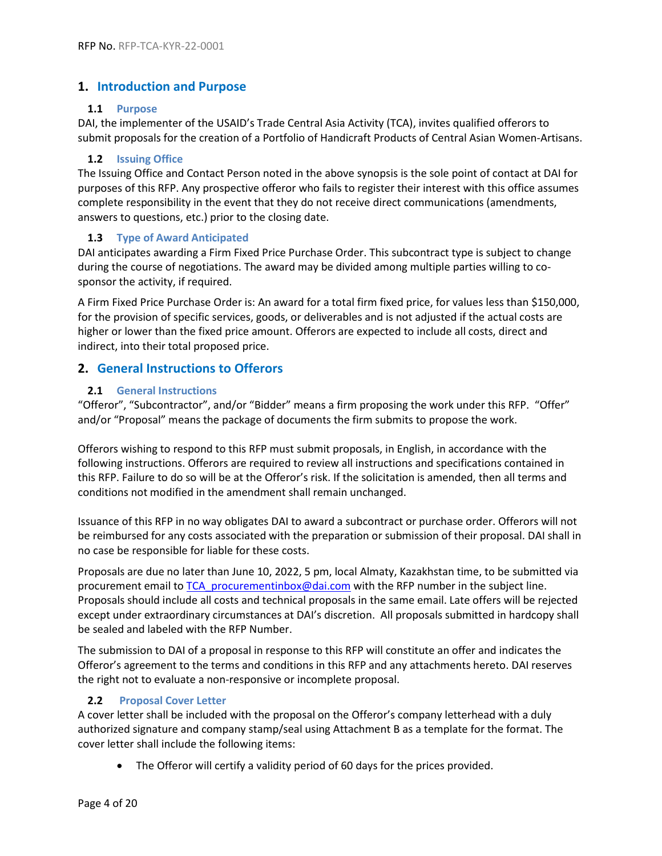## <span id="page-3-0"></span>**1. Introduction and Purpose**

#### <span id="page-3-1"></span>**1.1 Purpose**

DAI, the implementer of the USAID's Trade Central Asia Activity (TCA), invites qualified offerors to submit proposals for the creation of a Portfolio of Handicraft Products of Central Asian Women-Artisans.

#### <span id="page-3-2"></span>**1.2 Issuing Office**

The Issuing Office and Contact Person noted in the above synopsis is the sole point of contact at DAI for purposes of this RFP. Any prospective offeror who fails to register their interest with this office assumes complete responsibility in the event that they do not receive direct communications (amendments, answers to questions, etc.) prior to the closing date.

### <span id="page-3-3"></span>**1.3 Type of Award Anticipated**

DAI anticipates awarding a Firm Fixed Price Purchase Order. This subcontract type is subject to change during the course of negotiations. The award may be divided among multiple parties willing to cosponsor the activity, if required.

A Firm Fixed Price Purchase Order is: An award for a total firm fixed price, for values less than \$150,000, for the provision of specific services, goods, or deliverables and is not adjusted if the actual costs are higher or lower than the fixed price amount. Offerors are expected to include all costs, direct and indirect, into their total proposed price.

## <span id="page-3-4"></span>**2. General Instructions to Offerors**

### <span id="page-3-5"></span>**2.1 General Instructions**

"Offeror", "Subcontractor", and/or "Bidder" means a firm proposing the work under this RFP. "Offer" and/or "Proposal" means the package of documents the firm submits to propose the work.

Offerors wishing to respond to this RFP must submit proposals, in English, in accordance with the following instructions. Offerors are required to review all instructions and specifications contained in this RFP. Failure to do so will be at the Offeror's risk. If the solicitation is amended, then all terms and conditions not modified in the amendment shall remain unchanged.

Issuance of this RFP in no way obligates DAI to award a subcontract or purchase order. Offerors will not be reimbursed for any costs associated with the preparation or submission of their proposal. DAI shall in no case be responsible for liable for these costs.

Proposals are due no later than June 10, 2022, 5 pm, local Almaty, Kazakhstan time, to be submitted via procurement email to TCA procurementinbox@dai.com with the RFP number in the subject line. Proposals should include all costs and technical proposals in the same email. Late offers will be rejected except under extraordinary circumstances at DAI's discretion. All proposals submitted in hardcopy shall be sealed and labeled with the RFP Number.

The submission to DAI of a proposal in response to this RFP will constitute an offer and indicates the Offeror's agreement to the terms and conditions in this RFP and any attachments hereto. DAI reserves the right not to evaluate a non-responsive or incomplete proposal.

## <span id="page-3-6"></span>**2.2 Proposal Cover Letter**

A cover letter shall be included with the proposal on the Offeror's company letterhead with a duly authorized signature and company stamp/seal using Attachment B as a template for the format. The cover letter shall include the following items:

• The Offeror will certify a validity period of 60 days for the prices provided.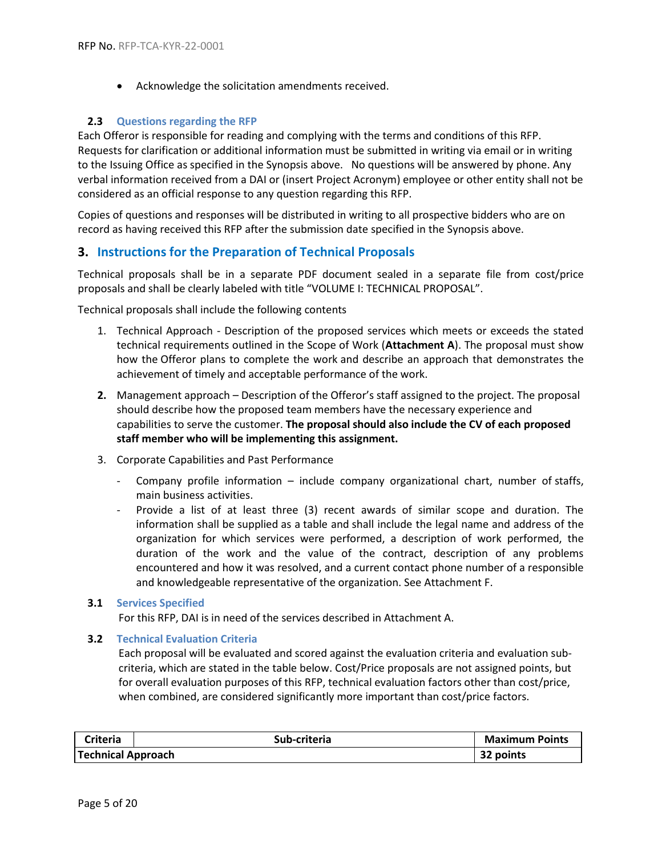• Acknowledge the solicitation amendments received.

#### <span id="page-4-0"></span>**2.3 Questions regarding the RFP**

Each Offeror is responsible for reading and complying with the terms and conditions of this RFP. Requests for clarification or additional information must be submitted in writing via email or in writing to the Issuing Office as specified in the Synopsis above. No questions will be answered by phone. Any verbal information received from a DAI or (insert Project Acronym) employee or other entity shall not be considered as an official response to any question regarding this RFP.

Copies of questions and responses will be distributed in writing to all prospective bidders who are on record as having received this RFP after the submission date specified in the Synopsis above.

### <span id="page-4-1"></span>**3. Instructions for the Preparation of Technical Proposals**

Technical proposals shall be in a separate PDF document sealed in a separate file from cost/price proposals and shall be clearly labeled with title "VOLUME I: TECHNICAL PROPOSAL".

Technical proposals shall include the following contents

- 1. Technical Approach Description of the proposed services which meets or exceeds the stated technical requirements outlined in the Scope of Work (**Attachment A**). The proposal must show how the Offeror plans to complete the work and describe an approach that demonstrates the achievement of timely and acceptable performance of the work.
- **2.** Management approach Description of the Offeror's staff assigned to the project. The proposal should describe how the proposed team members have the necessary experience and capabilities to serve the customer. **The proposal should also include the CV of each proposed staff member who will be implementing this assignment.**
- 3. Corporate Capabilities and Past Performance
	- Company profile information include company organizational chart, number of staffs, main business activities.
	- Provide a list of at least three (3) recent awards of similar scope and duration. The information shall be supplied as a table and shall include the legal name and address of the organization for which services were performed, a description of work performed, the duration of the work and the value of the contract, description of any problems encountered and how it was resolved, and a current contact phone number of a responsible and knowledgeable representative of the organization. See Attachment F.

#### <span id="page-4-2"></span>**3.1 Services Specified**

For this RFP, DAI is in need of the services described in Attachment A.

#### <span id="page-4-3"></span>**3.2 Technical Evaluation Criteria**

Each proposal will be evaluated and scored against the evaluation criteria and evaluation subcriteria, which are stated in the table below. Cost/Price proposals are not assigned points, but for overall evaluation purposes of this RFP, technical evaluation factors other than cost/price, when combined, are considered significantly more important than cost/price factors.

| Criteria                  | Sub-criteria | <b>Maximum Points</b> |
|---------------------------|--------------|-----------------------|
| <b>Technical Approach</b> |              | 32 points             |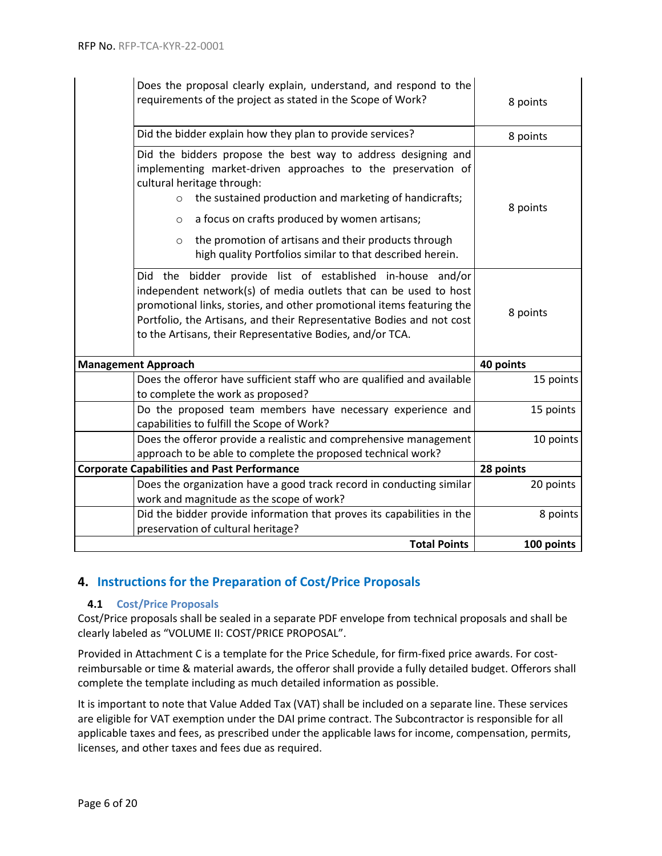| Does the proposal clearly explain, understand, and respond to the<br>requirements of the project as stated in the Scope of Work?                                                                                                                                                                                                                                                                                             | 8 points   |
|------------------------------------------------------------------------------------------------------------------------------------------------------------------------------------------------------------------------------------------------------------------------------------------------------------------------------------------------------------------------------------------------------------------------------|------------|
| Did the bidder explain how they plan to provide services?                                                                                                                                                                                                                                                                                                                                                                    | 8 points   |
| Did the bidders propose the best way to address designing and<br>implementing market-driven approaches to the preservation of<br>cultural heritage through:<br>the sustained production and marketing of handicrafts;<br>$\circ$<br>a focus on crafts produced by women artisans;<br>$\circ$<br>the promotion of artisans and their products through<br>$\circ$<br>high quality Portfolios similar to that described herein. | 8 points   |
| the bidder provide list of established in-house and/or<br>Did<br>independent network(s) of media outlets that can be used to host<br>promotional links, stories, and other promotional items featuring the<br>Portfolio, the Artisans, and their Representative Bodies and not cost<br>to the Artisans, their Representative Bodies, and/or TCA.                                                                             | 8 points   |
| <b>Management Approach</b>                                                                                                                                                                                                                                                                                                                                                                                                   | 40 points  |
| Does the offeror have sufficient staff who are qualified and available<br>to complete the work as proposed?                                                                                                                                                                                                                                                                                                                  | 15 points  |
| Do the proposed team members have necessary experience and<br>capabilities to fulfill the Scope of Work?                                                                                                                                                                                                                                                                                                                     | 15 points  |
| Does the offeror provide a realistic and comprehensive management<br>approach to be able to complete the proposed technical work?                                                                                                                                                                                                                                                                                            | 10 points  |
| <b>Corporate Capabilities and Past Performance</b>                                                                                                                                                                                                                                                                                                                                                                           | 28 points  |
| Does the organization have a good track record in conducting similar<br>work and magnitude as the scope of work?                                                                                                                                                                                                                                                                                                             | 20 points  |
| Did the bidder provide information that proves its capabilities in the<br>preservation of cultural heritage?                                                                                                                                                                                                                                                                                                                 | 8 points   |
| <b>Total Points</b>                                                                                                                                                                                                                                                                                                                                                                                                          | 100 points |

## <span id="page-5-0"></span>**4. Instructions for the Preparation of Cost/Price Proposals**

#### <span id="page-5-1"></span>**4.1 Cost/Price Proposals**

Cost/Price proposals shall be sealed in a separate PDF envelope from technical proposals and shall be clearly labeled as "VOLUME II: COST/PRICE PROPOSAL".

Provided in Attachment C is a template for the Price Schedule, for firm-fixed price awards. For costreimbursable or time & material awards, the offeror shall provide a fully detailed budget. Offerors shall complete the template including as much detailed information as possible.

It is important to note that Value Added Tax (VAT) shall be included on a separate line. These services are eligible for VAT exemption under the DAI prime contract. The Subcontractor is responsible for all applicable taxes and fees, as prescribed under the applicable laws for income, compensation, permits, licenses, and other taxes and fees due as required.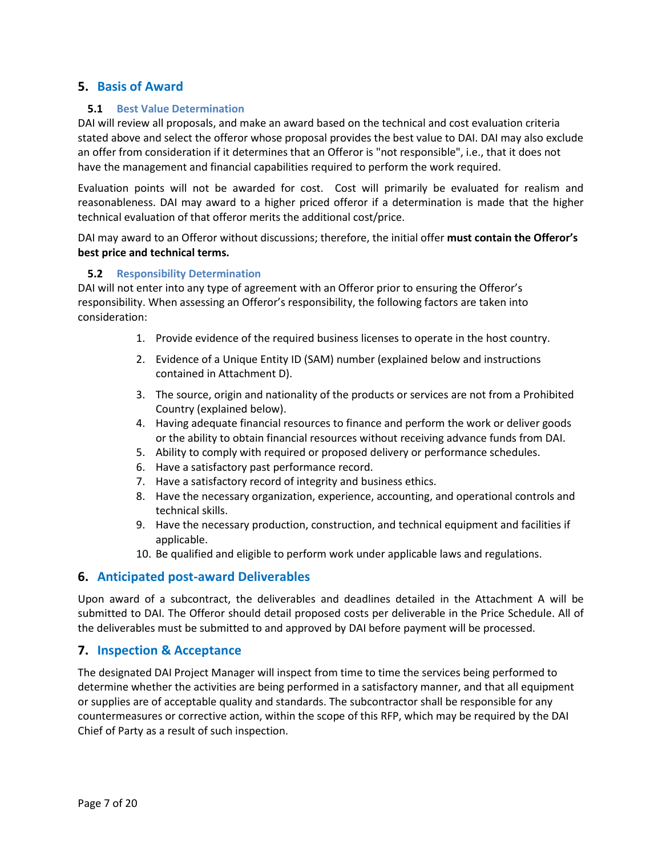## <span id="page-6-0"></span>**5. Basis of Award**

#### <span id="page-6-1"></span>**5.1 Best Value Determination**

DAI will review all proposals, and make an award based on the technical and cost evaluation criteria stated above and select the offeror whose proposal provides the best value to DAI. DAI may also exclude an offer from consideration if it determines that an Offeror is "not responsible", i.e., that it does not have the management and financial capabilities required to perform the work required.

Evaluation points will not be awarded for cost. Cost will primarily be evaluated for realism and reasonableness. DAI may award to a higher priced offeror if a determination is made that the higher technical evaluation of that offeror merits the additional cost/price.

DAI may award to an Offeror without discussions; therefore, the initial offer **must contain the Offeror's best price and technical terms.** 

### <span id="page-6-2"></span>**5.2 Responsibility Determination**

DAI will not enter into any type of agreement with an Offeror prior to ensuring the Offeror's responsibility. When assessing an Offeror's responsibility, the following factors are taken into consideration:

- 1. Provide evidence of the required business licenses to operate in the host country.
- 2. Evidence of a Unique Entity ID (SAM) number (explained below and instructions contained in Attachment D).
- 3. The source, origin and nationality of the products or services are not from a Prohibited Country (explained below).
- 4. Having adequate financial resources to finance and perform the work or deliver goods or the ability to obtain financial resources without receiving advance funds from DAI.
- 5. Ability to comply with required or proposed delivery or performance schedules.
- 6. Have a satisfactory past performance record.
- 7. Have a satisfactory record of integrity and business ethics.
- 8. Have the necessary organization, experience, accounting, and operational controls and technical skills.
- 9. Have the necessary production, construction, and technical equipment and facilities if applicable.
- 10. Be qualified and eligible to perform work under applicable laws and regulations.

## <span id="page-6-3"></span>**6. Anticipated post-award Deliverables**

Upon award of a subcontract, the deliverables and deadlines detailed in the Attachment A will be submitted to DAI. The Offeror should detail proposed costs per deliverable in the Price Schedule. All of the deliverables must be submitted to and approved by DAI before payment will be processed.

## <span id="page-6-4"></span>**7. Inspection & Acceptance**

The designated DAI Project Manager will inspect from time to time the services being performed to determine whether the activities are being performed in a satisfactory manner, and that all equipment or supplies are of acceptable quality and standards. The subcontractor shall be responsible for any countermeasures or corrective action, within the scope of this RFP, which may be required by the DAI Chief of Party as a result of such inspection.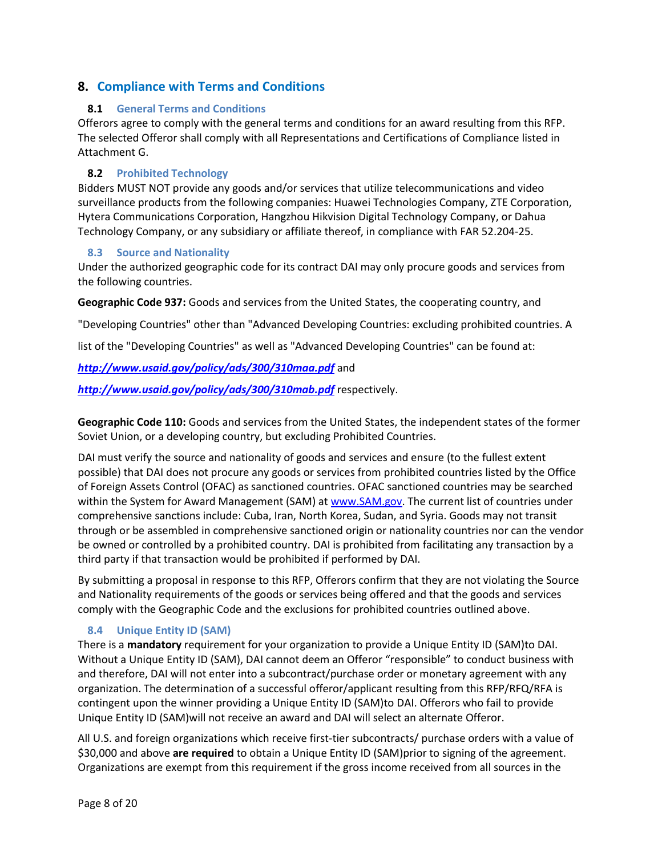## <span id="page-7-0"></span>**8. Compliance with Terms and Conditions**

#### <span id="page-7-1"></span>**8.1 General Terms and Conditions**

Offerors agree to comply with the general terms and conditions for an award resulting from this RFP. The selected Offeror shall comply with all Representations and Certifications of Compliance listed in Attachment G.

#### <span id="page-7-2"></span>**8.2 Prohibited Technology**

Bidders MUST NOT provide any goods and/or services that utilize telecommunications and video surveillance products from the following companies: Huawei Technologies Company, ZTE Corporation, Hytera Communications Corporation, Hangzhou Hikvision Digital Technology Company, or Dahua Technology Company, or any subsidiary or affiliate thereof, in compliance with FAR 52.204-25.

#### <span id="page-7-3"></span>**8.3 Source and Nationality**

Under the authorized geographic code for its contract DAI may only procure goods and services from the following countries.

**Geographic Code 937:** Goods and services from the United States, the cooperating country, and

"Developing Countries" other than "Advanced Developing Countries: excluding prohibited countries. A

list of the "Developing Countries" as well as "Advanced Developing Countries" can be found at:

## *<http://www.usaid.gov/policy/ads/300/310maa.pdf>* and

*<http://www.usaid.gov/policy/ads/300/310mab.pdf>* respectively.

**Geographic Code 110:** Goods and services from the United States, the independent states of the former Soviet Union, or a developing country, but excluding Prohibited Countries.

DAI must verify the source and nationality of goods and services and ensure (to the fullest extent possible) that DAI does not procure any goods or services from prohibited countries listed by the Office of Foreign Assets Control (OFAC) as sanctioned countries. OFAC sanctioned countries may be searched within the System for Award Management (SAM) at [www.SAM.gov.](../../../gmyrzakmat/AppData/Local/Microsoft/Windows/gmyrzakmat/AppData/Local/AppData/Local/naugustin/AppData/Local/Microsoft/hrobertson/Users/hrobertson/AppData/Local/Temp/notesFFF692/www.SAM.gov) The current list of countries under comprehensive sanctions include: Cuba, Iran, North Korea, Sudan, and Syria. Goods may not transit through or be assembled in comprehensive sanctioned origin or nationality countries nor can the vendor be owned or controlled by a prohibited country. DAI is prohibited from facilitating any transaction by a third party if that transaction would be prohibited if performed by DAI.

By submitting a proposal in response to this RFP, Offerors confirm that they are not violating the Source and Nationality requirements of the goods or services being offered and that the goods and services comply with the Geographic Code and the exclusions for prohibited countries outlined above.

## <span id="page-7-4"></span>**8.4 Unique Entity ID (SAM)**

There is a **mandatory** requirement for your organization to provide a Unique Entity ID (SAM)to DAI. Without a Unique Entity ID (SAM), DAI cannot deem an Offeror "responsible" to conduct business with and therefore, DAI will not enter into a subcontract/purchase order or monetary agreement with any organization. The determination of a successful offeror/applicant resulting from this RFP/RFQ/RFA is contingent upon the winner providing a Unique Entity ID (SAM)to DAI. Offerors who fail to provide Unique Entity ID (SAM)will not receive an award and DAI will select an alternate Offeror.

All U.S. and foreign organizations which receive first-tier subcontracts/ purchase orders with a value of \$30,000 and above **are required** to obtain a Unique Entity ID (SAM)prior to signing of the agreement. Organizations are exempt from this requirement if the gross income received from all sources in the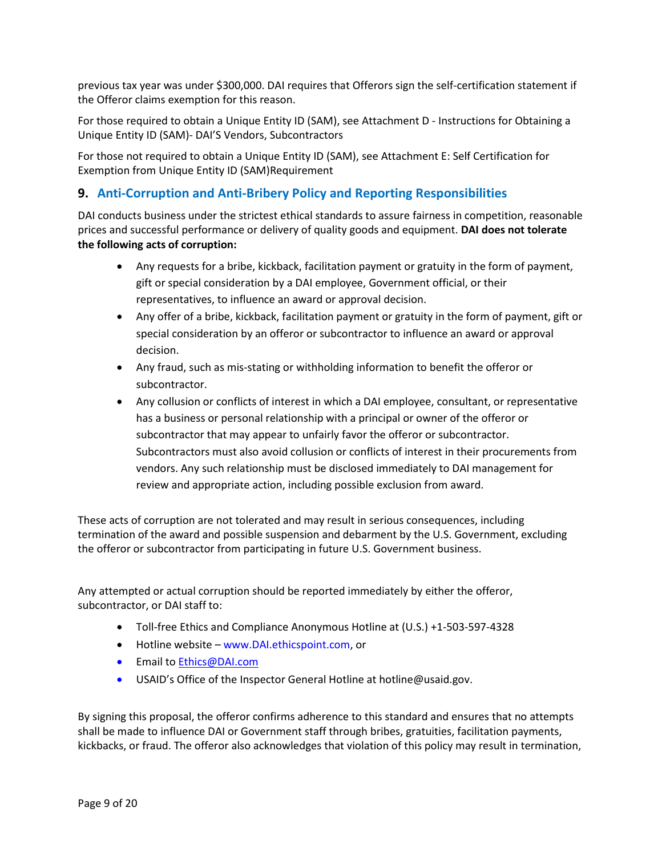previous tax year was under \$300,000. DAI requires that Offerors sign the self-certification statement if the Offeror claims exemption for this reason.

For those required to obtain a Unique Entity ID (SAM), see Attachment D - Instructions for Obtaining a Unique Entity ID (SAM)- DAI'S Vendors, Subcontractors

For those not required to obtain a Unique Entity ID (SAM), see Attachment E: Self Certification for Exemption from Unique Entity ID (SAM)Requirement

## <span id="page-8-0"></span>**9. Anti-Corruption and Anti-Bribery Policy and Reporting Responsibilities**

DAI conducts business under the strictest ethical standards to assure fairness in competition, reasonable prices and successful performance or delivery of quality goods and equipment. **DAI does not tolerate the following acts of corruption:**

- Any requests for a bribe, kickback, facilitation payment or gratuity in the form of payment, gift or special consideration by a DAI employee, Government official, or their representatives, to influence an award or approval decision.
- Any offer of a bribe, kickback, facilitation payment or gratuity in the form of payment, gift or special consideration by an offeror or subcontractor to influence an award or approval decision.
- Any fraud, such as mis-stating or withholding information to benefit the offeror or subcontractor.
- Any collusion or conflicts of interest in which a DAI employee, consultant, or representative has a business or personal relationship with a principal or owner of the offeror or subcontractor that may appear to unfairly favor the offeror or subcontractor. Subcontractors must also avoid collusion or conflicts of interest in their procurements from vendors. Any such relationship must be disclosed immediately to DAI management for review and appropriate action, including possible exclusion from award.

These acts of corruption are not tolerated and may result in serious consequences, including termination of the award and possible suspension and debarment by the U.S. Government, excluding the offeror or subcontractor from participating in future U.S. Government business.

Any attempted or actual corruption should be reported immediately by either the offeror, subcontractor, or DAI staff to:

- Toll-free Ethics and Compliance Anonymous Hotline at (U.S.) +1-503-597-4328
- Hotline website www.DAI.ethicspoint.com, or
- Email to [Ethics@DAI.com](mailto:Ethics@DAI.com)
- USAID's Office of the Inspector General Hotline at hotline@usaid.gov.

By signing this proposal, the offeror confirms adherence to this standard and ensures that no attempts shall be made to influence DAI or Government staff through bribes, gratuities, facilitation payments, kickbacks, or fraud. The offeror also acknowledges that violation of this policy may result in termination,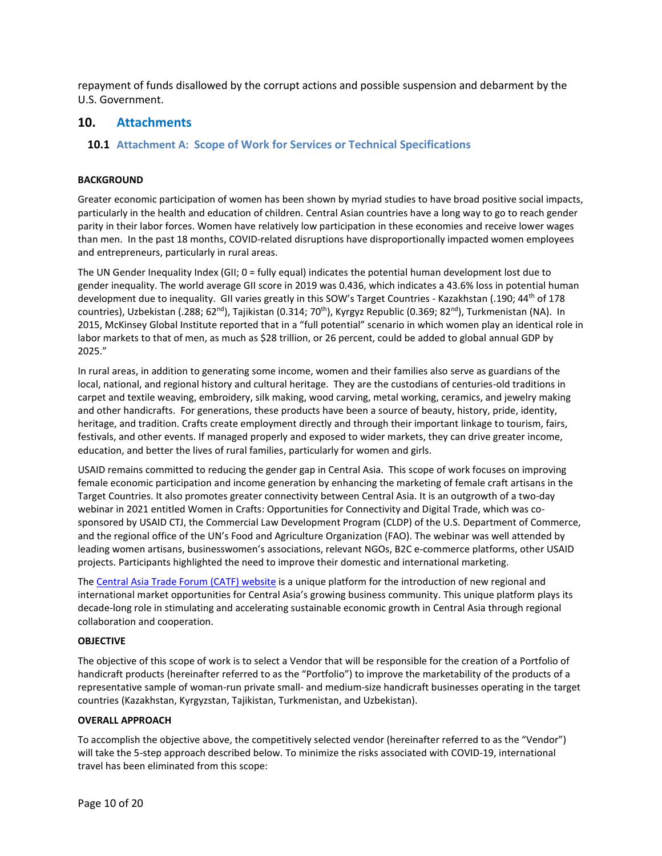repayment of funds disallowed by the corrupt actions and possible suspension and debarment by the U.S. Government.

### <span id="page-9-0"></span>**10. Attachments**

#### <span id="page-9-1"></span>**10.1 Attachment A: Scope of Work for Services or Technical Specifications**

#### **BACKGROUND**

Greater economic participation of women has been shown by myriad studies to have broad positive social impacts, particularly in the health and education of children. Central Asian countries have a long way to go to reach gender parity in their labor forces. Women have relatively low participation in these economies and receive lower wages than men. In the past 18 months, COVID-related disruptions have disproportionally impacted women employees and entrepreneurs, particularly in rural areas.

The UN Gender Inequality Index (GII; 0 = fully equal) indicates the potential human development lost due to gender inequality. The world average GII score in 2019 was 0.436, which indicates a 43.6% loss in potential human development due to inequality. GII varies greatly in this SOW's Target Countries - Kazakhstan (.190; 44th of 178 countries), Uzbekistan (.288; 62<sup>nd</sup>), Tajikistan (0.314; 70<sup>th</sup>), Kyrgyz Republic (0.369; 82<sup>nd</sup>), Turkmenistan (NA). In 2015, McKinsey Global Institute reported that in a "full potential" scenario in which women play an identical role in labor markets to that of men, as much as \$28 trillion, or 26 percent, could be added to global annual GDP by 2025."

In rural areas, in addition to generating some income, women and their families also serve as guardians of the local, national, and regional history and cultural heritage. They are the custodians of centuries-old traditions in carpet and textile weaving, embroidery, silk making, wood carving, metal working, ceramics, and jewelry making and other handicrafts. For generations, these products have been a source of beauty, history, pride, identity, heritage, and tradition. Crafts create employment directly and through their important linkage to tourism, fairs, festivals, and other events. If managed properly and exposed to wider markets, they can drive greater income, education, and better the lives of rural families, particularly for women and girls.

USAID remains committed to reducing the gender gap in Central Asia. This scope of work focuses on improving female economic participation and income generation by enhancing the marketing of female craft artisans in the Target Countries. It also promotes greater connectivity between Central Asia. It is an outgrowth of a two-day webinar in 2021 entitled Women in Crafts: Opportunities for Connectivity and Digital Trade, which was cosponsored by USAID CTJ, the Commercial Law Development Program (CLDP) of the U.S. Department of Commerce, and the regional office of the UN's Food and Agriculture Organization (FAO). The webinar was well attended by leading women artisans, businesswomen's associations, relevant NGOs, B2C e-commerce platforms, other USAID projects. Participants highlighted the need to improve their domestic and international marketing.

Th[e Central Asia Trade Forum \(CATF\) website](https://catradeforum.org/) is a unique platform for the introduction of new regional and international market opportunities for Central Asia's growing business community. This unique platform plays its decade-long role in stimulating and accelerating sustainable economic growth in Central Asia through regional collaboration and cooperation.

#### **OBJECTIVE**

The objective of this scope of work is to select a Vendor that will be responsible for the creation of a Portfolio of handicraft products (hereinafter referred to as the "Portfolio") to improve the marketability of the products of a representative sample of woman-run private small- and medium-size handicraft businesses operating in the target countries (Kazakhstan, Kyrgyzstan, Tajikistan, Turkmenistan, and Uzbekistan).

#### **OVERALL APPROACH**

To accomplish the objective above, the competitively selected vendor (hereinafter referred to as the "Vendor") will take the 5-step approach described below. To minimize the risks associated with COVID-19, international travel has been eliminated from this scope: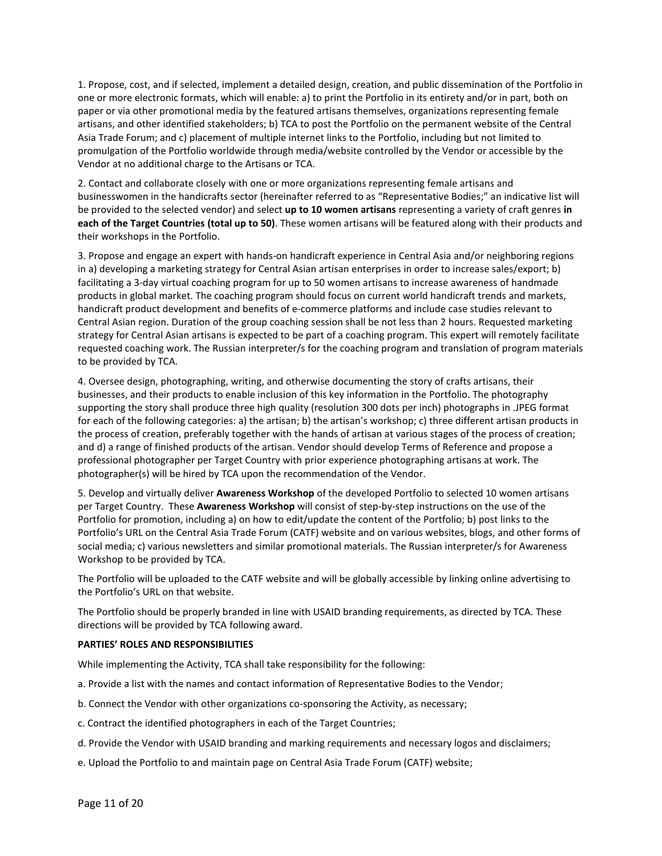1. Propose, cost, and if selected, implement a detailed design, creation, and public dissemination of the Portfolio in one or more electronic formats, which will enable: a) to print the Portfolio in its entirety and/or in part, both on paper or via other promotional media by the featured artisans themselves, organizations representing female artisans, and other identified stakeholders; b) TCA to post the Portfolio on the permanent website of the Central Asia Trade Forum; and c) placement of multiple internet links to the Portfolio, including but not limited to promulgation of the Portfolio worldwide through media/website controlled by the Vendor or accessible by the Vendor at no additional charge to the Artisans or TCA.

2. Contact and collaborate closely with one or more organizations representing female artisans and businesswomen in the handicrafts sector (hereinafter referred to as "Representative Bodies;" an indicative list will be provided to the selected vendor) and select **up to 10 women artisans** representing a variety of craft genres **in each of the Target Countries (total up to 50)**. These women artisans will be featured along with their products and their workshops in the Portfolio.

3. Propose and engage an expert with hands-on handicraft experience in Central Asia and/or neighboring regions in a) developing a marketing strategy for Central Asian artisan enterprises in order to increase sales/export; b) facilitating a 3-day virtual coaching program for up to 50 women artisans to increase awareness of handmade products in global market. The coaching program should focus on current world handicraft trends and markets, handicraft product development and benefits of e-commerce platforms and include case studies relevant to Central Asian region. Duration of the group coaching session shall be not less than 2 hours. Requested marketing strategy for Central Asian artisans is expected to be part of a coaching program. This expert will remotely facilitate requested coaching work. The Russian interpreter/s for the coaching program and translation of program materials to be provided by TCA.

4. Oversee design, photographing, writing, and otherwise documenting the story of crafts artisans, their businesses, and their products to enable inclusion of this key information in the Portfolio. The photography supporting the story shall produce three high quality (resolution 300 dots per inch) photographs in .JPEG format for each of the following categories: a) the artisan; b) the artisan's workshop; c) three different artisan products in the process of creation, preferably together with the hands of artisan at various stages of the process of creation; and d) a range of finished products of the artisan. Vendor should develop Terms of Reference and propose a professional photographer per Target Country with prior experience photographing artisans at work. The photographer(s) will be hired by TCA upon the recommendation of the Vendor.

5. Develop and virtually deliver **Awareness Workshop** of the developed Portfolio to selected 10 women artisans per Target Country. These **Awareness Workshop** will consist of step-by-step instructions on the use of the Portfolio for promotion, including a) on how to edit/update the content of the Portfolio; b) post links to the Portfolio's URL on the Central Asia Trade Forum (CATF) website and on various websites, blogs, and other forms of social media; c) various newsletters and similar promotional materials. The Russian interpreter/s for Awareness Workshop to be provided by TCA.

The Portfolio will be uploaded to the CATF website and will be globally accessible by linking online advertising to the Portfolio's URL on that website.

The Portfolio should be properly branded in line with USAID branding requirements, as directed by TCA. These directions will be provided by TCA following award.

#### **PARTIES' ROLES AND RESPONSIBILITIES**

While implementing the Activity, TCA shall take responsibility for the following:

- a. Provide a list with the names and contact information of Representative Bodies to the Vendor;
- b. Connect the Vendor with other organizations co-sponsoring the Activity, as necessary;
- c. Contract the identified photographers in each of the Target Countries;
- d. Provide the Vendor with USAID branding and marking requirements and necessary logos and disclaimers;
- e. Upload the Portfolio to and maintain page on Central Asia Trade Forum (CATF) website;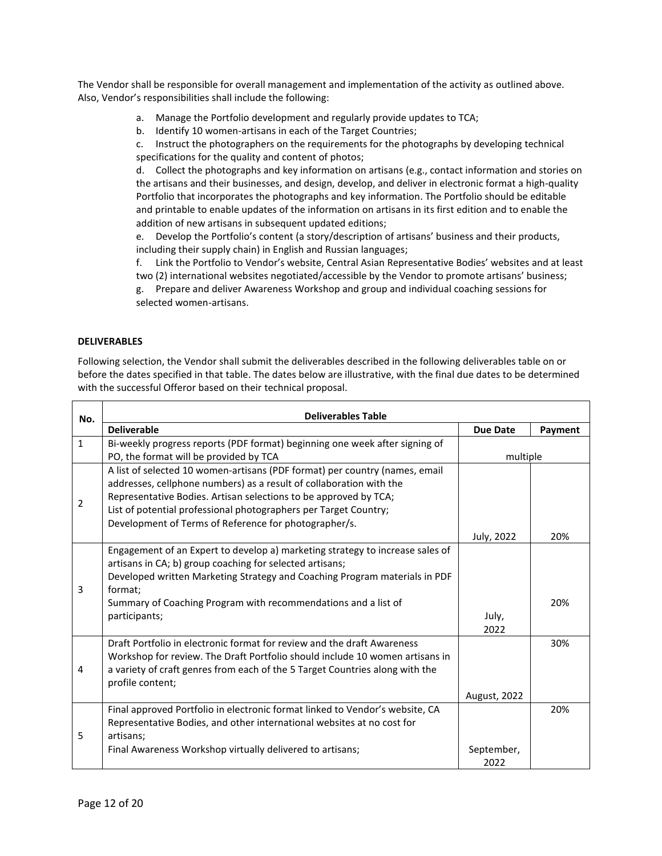The Vendor shall be responsible for overall management and implementation of the activity as outlined above. Also, Vendor's responsibilities shall include the following:

- a. Manage the Portfolio development and regularly provide updates to TCA;
- b. Identify 10 women-artisans in each of the Target Countries;

c. Instruct the photographers on the requirements for the photographs by developing technical specifications for the quality and content of photos;

d. Collect the photographs and key information on artisans (e.g., contact information and stories on the artisans and their businesses, and design, develop, and deliver in electronic format a high-quality Portfolio that incorporates the photographs and key information. The Portfolio should be editable and printable to enable updates of the information on artisans in its first edition and to enable the addition of new artisans in subsequent updated editions;

e. Develop the Portfolio's content (a story/description of artisans' business and their products, including their supply chain) in English and Russian languages;

f. Link the Portfolio to Vendor's website, Central Asian Representative Bodies' websites and at least two (2) international websites negotiated/accessible by the Vendor to promote artisans' business;

g. Prepare and deliver Awareness Workshop and group and individual coaching sessions for selected women-artisans.

#### **DELIVERABLES**

Following selection, the Vendor shall submit the deliverables described in the following deliverables table on or before the dates specified in that table. The dates below are illustrative, with the final due dates to be determined with the successful Offeror based on their technical proposal.

| No.            | <b>Deliverables Table</b>                                                     |                 |         |  |  |  |  |  |
|----------------|-------------------------------------------------------------------------------|-----------------|---------|--|--|--|--|--|
|                | <b>Deliverable</b>                                                            | <b>Due Date</b> | Payment |  |  |  |  |  |
| $\mathbf{1}$   | Bi-weekly progress reports (PDF format) beginning one week after signing of   |                 |         |  |  |  |  |  |
|                | PO, the format will be provided by TCA                                        | multiple        |         |  |  |  |  |  |
|                | A list of selected 10 women-artisans (PDF format) per country (names, email   |                 |         |  |  |  |  |  |
|                | addresses, cellphone numbers) as a result of collaboration with the           |                 |         |  |  |  |  |  |
| $\overline{2}$ | Representative Bodies. Artisan selections to be approved by TCA;              |                 |         |  |  |  |  |  |
|                | List of potential professional photographers per Target Country;              |                 |         |  |  |  |  |  |
|                | Development of Terms of Reference for photographer/s.                         |                 |         |  |  |  |  |  |
|                |                                                                               | July, 2022      | 20%     |  |  |  |  |  |
|                | Engagement of an Expert to develop a) marketing strategy to increase sales of |                 |         |  |  |  |  |  |
|                | artisans in CA; b) group coaching for selected artisans;                      |                 |         |  |  |  |  |  |
|                | Developed written Marketing Strategy and Coaching Program materials in PDF    |                 |         |  |  |  |  |  |
| 3              | format:                                                                       |                 |         |  |  |  |  |  |
|                | Summary of Coaching Program with recommendations and a list of                |                 | 20%     |  |  |  |  |  |
|                | participants;                                                                 | July,           |         |  |  |  |  |  |
|                |                                                                               | 2022            |         |  |  |  |  |  |
|                | Draft Portfolio in electronic format for review and the draft Awareness       |                 | 30%     |  |  |  |  |  |
|                | Workshop for review. The Draft Portfolio should include 10 women artisans in  |                 |         |  |  |  |  |  |
| 4              | a variety of craft genres from each of the 5 Target Countries along with the  |                 |         |  |  |  |  |  |
|                | profile content;                                                              |                 |         |  |  |  |  |  |
|                |                                                                               | August, 2022    |         |  |  |  |  |  |
|                | Final approved Portfolio in electronic format linked to Vendor's website, CA  |                 | 20%     |  |  |  |  |  |
| 5              | Representative Bodies, and other international websites at no cost for        |                 |         |  |  |  |  |  |
|                | artisans:                                                                     |                 |         |  |  |  |  |  |
|                | Final Awareness Workshop virtually delivered to artisans;                     | September,      |         |  |  |  |  |  |
|                |                                                                               | 2022            |         |  |  |  |  |  |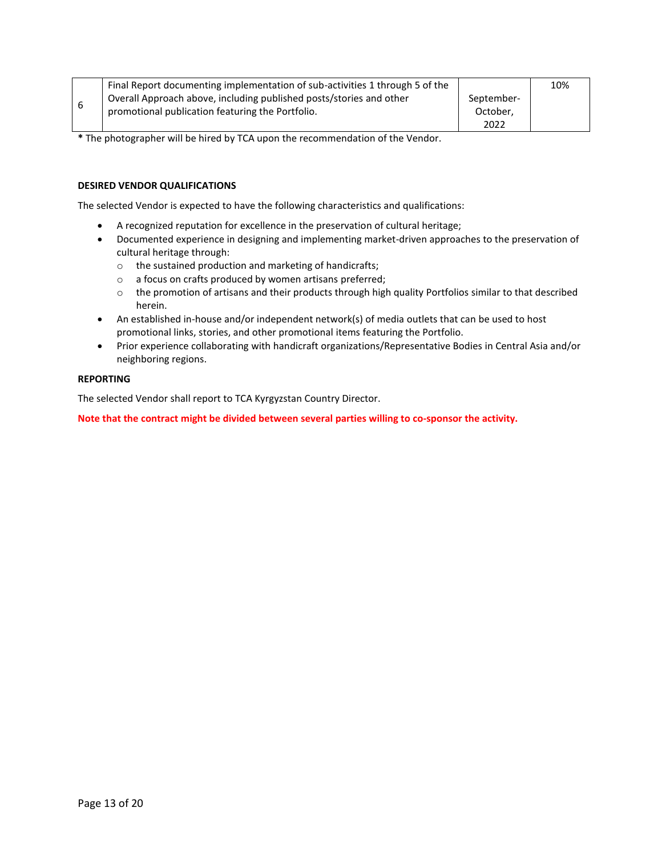|   | Final Report documenting implementation of sub-activities 1 through 5 of the |            | 10% |
|---|------------------------------------------------------------------------------|------------|-----|
|   | Overall Approach above, including published posts/stories and other          | September- |     |
| 6 | promotional publication featuring the Portfolio.                             | October,   |     |
|   |                                                                              | 2022       |     |

**\*** The photographer will be hired by TCA upon the recommendation of the Vendor.

#### **DESIRED VENDOR QUALIFICATIONS**

The selected Vendor is expected to have the following characteristics and qualifications:

- A recognized reputation for excellence in the preservation of cultural heritage;
- Documented experience in designing and implementing market-driven approaches to the preservation of cultural heritage through:
	- o the sustained production and marketing of handicrafts;
	- o a focus on crafts produced by women artisans preferred;
	- o the promotion of artisans and their products through high quality Portfolios similar to that described herein.
- An established in-house and/or independent network(s) of media outlets that can be used to host promotional links, stories, and other promotional items featuring the Portfolio.
- Prior experience collaborating with handicraft organizations/Representative Bodies in Central Asia and/or neighboring regions.

#### **REPORTING**

The selected Vendor shall report to TCA Kyrgyzstan Country Director.

**Note that the contract might be divided between several parties willing to co-sponsor the activity.**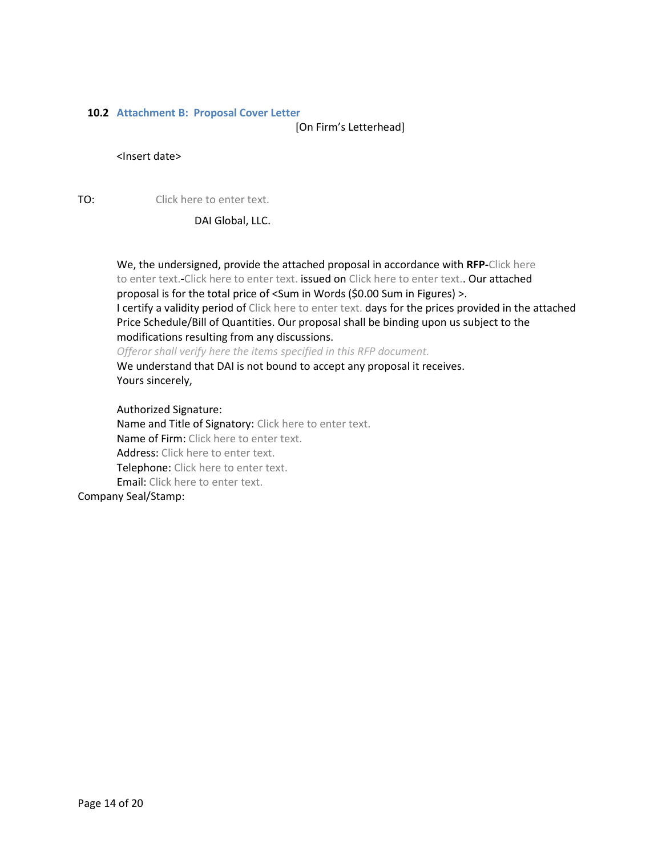#### <span id="page-13-0"></span>**10.2 Attachment B: Proposal Cover Letter**

[On Firm's Letterhead]

#### <Insert date>

TO: Click here to enter text.

DAI Global, LLC.

We, the undersigned, provide the attached proposal in accordance with **RFP-**Click here to enter text.**-**Click here to enter text. issued on Click here to enter text.. Our attached proposal is for the total price of <Sum in Words (\$0.00 Sum in Figures) >. I certify a validity period of Click here to enter text. days for the prices provided in the attached Price Schedule/Bill of Quantities. Our proposal shall be binding upon us subject to the modifications resulting from any discussions. *Offeror shall verify here the items specified in this RFP document.*

We understand that DAI is not bound to accept any proposal it receives. Yours sincerely,

Authorized Signature: Name and Title of Signatory: Click here to enter text. Name of Firm: Click here to enter text. Address: Click here to enter text. Telephone: Click here to enter text. Email: Click here to enter text. Company Seal/Stamp: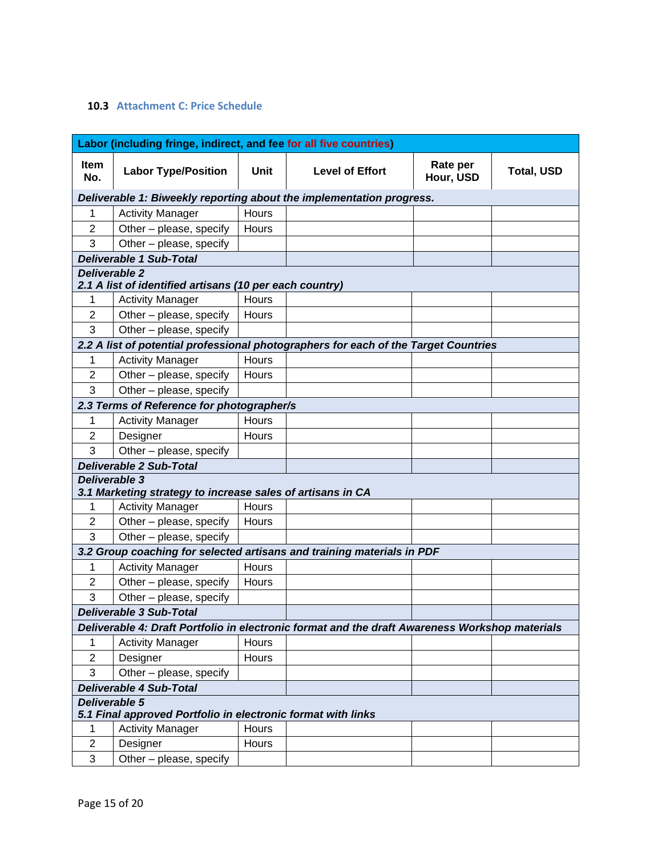## <span id="page-14-0"></span>**10.3 Attachment C: Price Schedule**

|                                | Labor (including fringe, indirect, and fee for all five countries)              |       |                                                                                                |                       |                   |
|--------------------------------|---------------------------------------------------------------------------------|-------|------------------------------------------------------------------------------------------------|-----------------------|-------------------|
| <b>Item</b><br>No.             | <b>Labor Type/Position</b>                                                      | Unit  | <b>Level of Effort</b>                                                                         | Rate per<br>Hour, USD | <b>Total, USD</b> |
|                                |                                                                                 |       | Deliverable 1: Biweekly reporting about the implementation progress.                           |                       |                   |
| 1                              | <b>Activity Manager</b>                                                         | Hours |                                                                                                |                       |                   |
| $\overline{2}$                 | Other - please, specify                                                         | Hours |                                                                                                |                       |                   |
| 3                              | Other - please, specify                                                         |       |                                                                                                |                       |                   |
|                                | <b>Deliverable 1 Sub-Total</b>                                                  |       |                                                                                                |                       |                   |
|                                | <b>Deliverable 2</b><br>2.1 A list of identified artisans (10 per each country) |       |                                                                                                |                       |                   |
| 1                              | <b>Activity Manager</b>                                                         | Hours |                                                                                                |                       |                   |
| $\overline{2}$                 | Other - please, specify                                                         | Hours |                                                                                                |                       |                   |
| 3                              | Other - please, specify                                                         |       |                                                                                                |                       |                   |
|                                |                                                                                 |       | 2.2 A list of potential professional photographers for each of the Target Countries            |                       |                   |
| 1                              | <b>Activity Manager</b>                                                         | Hours |                                                                                                |                       |                   |
| $\overline{2}$                 | Other - please, specify                                                         | Hours |                                                                                                |                       |                   |
| 3                              | Other - please, specify                                                         |       |                                                                                                |                       |                   |
|                                | 2.3 Terms of Reference for photographer/s                                       |       |                                                                                                |                       |                   |
| 1                              | <b>Activity Manager</b>                                                         | Hours |                                                                                                |                       |                   |
| $\overline{2}$                 | Designer                                                                        | Hours |                                                                                                |                       |                   |
| 3                              | Other - please, specify                                                         |       |                                                                                                |                       |                   |
| <b>Deliverable 2 Sub-Total</b> |                                                                                 |       |                                                                                                |                       |                   |
|                                | Deliverable 3<br>3.1 Marketing strategy to increase sales of artisans in CA     |       |                                                                                                |                       |                   |
| 1                              | <b>Activity Manager</b>                                                         | Hours |                                                                                                |                       |                   |
| $\overline{2}$                 | Other - please, specify                                                         | Hours |                                                                                                |                       |                   |
| 3                              | Other - please, specify                                                         |       |                                                                                                |                       |                   |
|                                |                                                                                 |       | 3.2 Group coaching for selected artisans and training materials in PDF                         |                       |                   |
| 1                              | <b>Activity Manager</b>                                                         | Hours |                                                                                                |                       |                   |
| $\overline{2}$                 | Other - please, specify                                                         | Hours |                                                                                                |                       |                   |
| 3                              | Other - please, specify                                                         |       |                                                                                                |                       |                   |
|                                | <b>Deliverable 3 Sub-Total</b>                                                  |       |                                                                                                |                       |                   |
|                                |                                                                                 |       | Deliverable 4: Draft Portfolio in electronic format and the draft Awareness Workshop materials |                       |                   |
| 1                              | <b>Activity Manager</b>                                                         | Hours |                                                                                                |                       |                   |
| $\overline{2}$                 | Designer                                                                        | Hours |                                                                                                |                       |                   |
| 3                              | Other - please, specify                                                         |       |                                                                                                |                       |                   |
| <b>Deliverable 4 Sub-Total</b> |                                                                                 |       |                                                                                                |                       |                   |
|                                | Deliverable 5<br>5.1 Final approved Portfolio in electronic format with links   |       |                                                                                                |                       |                   |
| 1                              | <b>Activity Manager</b>                                                         | Hours |                                                                                                |                       |                   |
| $\mathbf{2}$                   | Designer                                                                        | Hours |                                                                                                |                       |                   |
| 3                              | Other - please, specify                                                         |       |                                                                                                |                       |                   |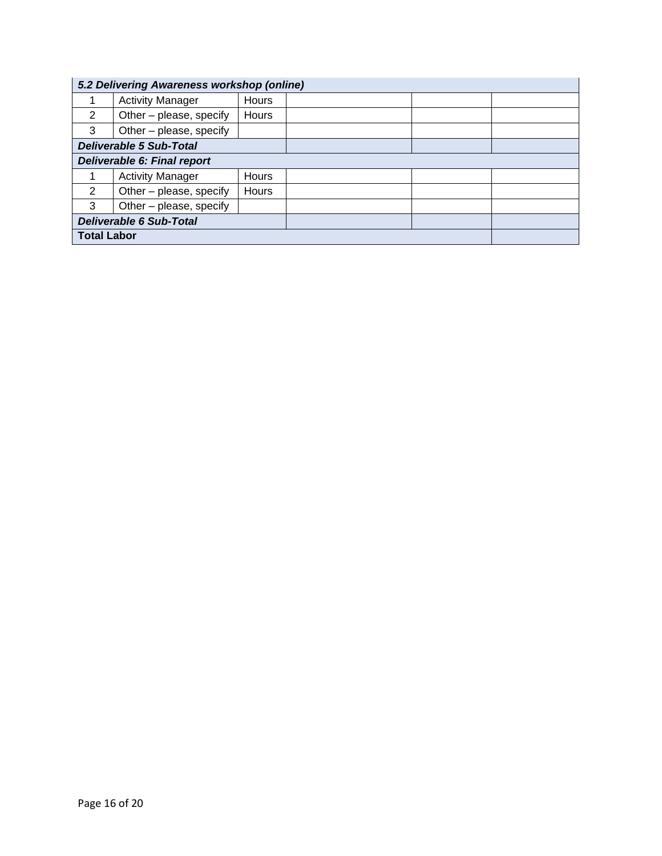| 5.2 Delivering Awareness workshop (online) |                         |              |  |  |
|--------------------------------------------|-------------------------|--------------|--|--|
|                                            | <b>Activity Manager</b> | Hours        |  |  |
| 2                                          | Other - please, specify | <b>Hours</b> |  |  |
| 3                                          | Other – please, specify |              |  |  |
| <b>Deliverable 5 Sub-Total</b>             |                         |              |  |  |
| Deliverable 6: Final report                |                         |              |  |  |
|                                            | <b>Activity Manager</b> | <b>Hours</b> |  |  |
| $\mathcal{P}$                              | Other - please, specify | Hours        |  |  |
| 3                                          | Other - please, specify |              |  |  |
| <b>Deliverable 6 Sub-Total</b>             |                         |              |  |  |
| <b>Total Labor</b>                         |                         |              |  |  |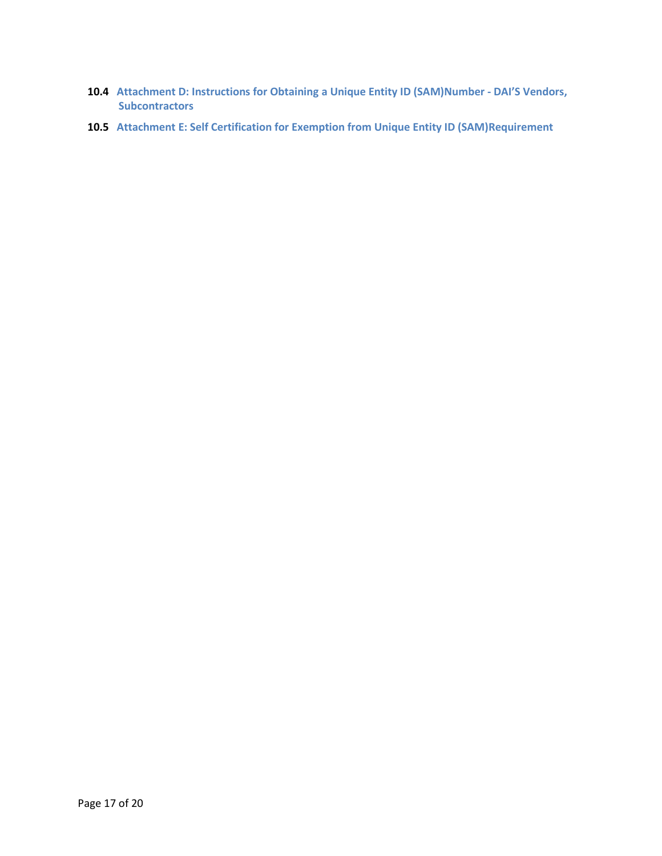- <span id="page-16-0"></span>**10.4 Attachment D: Instructions for Obtaining a Unique Entity ID (SAM)Number - DAI'S Vendors, Subcontractors**
- <span id="page-16-1"></span>**10.5 Attachment E: Self Certification for Exemption from Unique Entity ID (SAM)Requirement**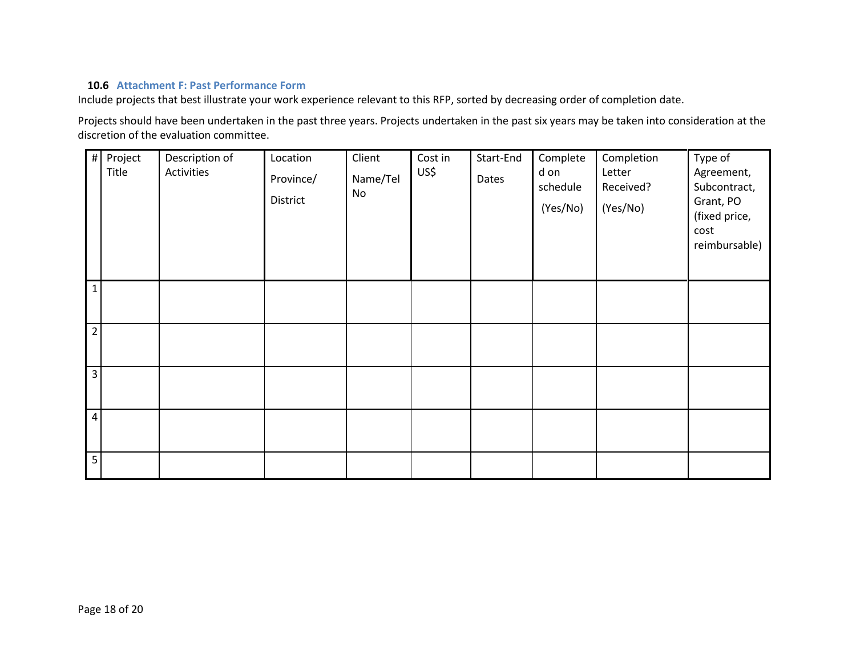### **10.6 Attachment F: Past Performance Form**

Include projects that best illustrate your work experience relevant to this RFP, sorted by decreasing order of completion date.

Projects should have been undertaken in the past three years. Projects undertaken in the past six years may be taken into consideration at the discretion of the evaluation committee.

<span id="page-17-0"></span>

| #               | Project<br>Title | Description of<br>Activities | Location<br>Province/<br>District | Client<br>Name/Tel<br>No | Cost in<br>US\$ | Start-End<br>Dates | Complete<br>d on<br>schedule<br>(Yes/No) | Completion<br>Letter<br>Received?<br>(Yes/No) | Type of<br>Agreement,<br>Subcontract,<br>Grant, PO<br>(fixed price,<br>cost<br>reimbursable) |
|-----------------|------------------|------------------------------|-----------------------------------|--------------------------|-----------------|--------------------|------------------------------------------|-----------------------------------------------|----------------------------------------------------------------------------------------------|
| $\mathbf{1}$    |                  |                              |                                   |                          |                 |                    |                                          |                                               |                                                                                              |
| $\overline{2}$  |                  |                              |                                   |                          |                 |                    |                                          |                                               |                                                                                              |
| $\overline{3}$  |                  |                              |                                   |                          |                 |                    |                                          |                                               |                                                                                              |
| $\overline{4}$  |                  |                              |                                   |                          |                 |                    |                                          |                                               |                                                                                              |
| $5\overline{)}$ |                  |                              |                                   |                          |                 |                    |                                          |                                               |                                                                                              |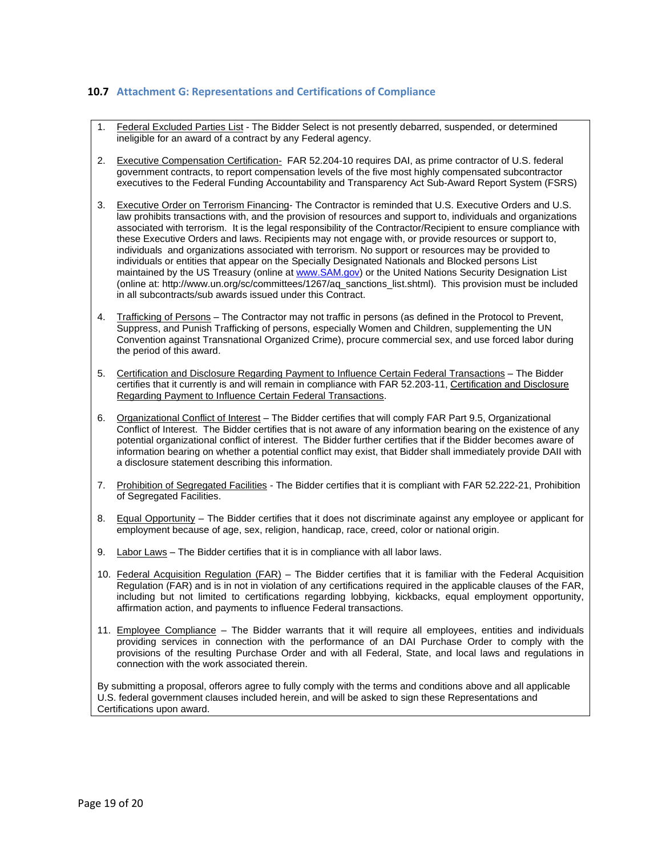#### <span id="page-18-0"></span>**10.7 Attachment G: Representations and Certifications of Compliance**

- 1. Federal Excluded Parties List The Bidder Select is not presently debarred, suspended, or determined ineligible for an award of a contract by any Federal agency.
- 2. Executive Compensation Certification- FAR 52.204-10 requires DAI, as prime contractor of U.S. federal government contracts, to report compensation levels of the five most highly compensated subcontractor executives to the Federal Funding Accountability and Transparency Act Sub-Award Report System (FSRS)
- 3. Executive Order on Terrorism Financing- The Contractor is reminded that U.S. Executive Orders and U.S. law prohibits transactions with, and the provision of resources and support to, individuals and organizations associated with terrorism. It is the legal responsibility of the Contractor/Recipient to ensure compliance with these Executive Orders and laws. Recipients may not engage with, or provide resources or support to, individuals and organizations associated with terrorism. No support or resources may be provided to individuals or entities that appear on the Specially Designated Nationals and Blocked persons List maintained by the US Treasury (online at [www.SAM.gov\)](http://www.sam.gov/) or the United Nations Security Designation List (online at: http://www.un.org/sc/committees/1267/aq\_sanctions\_list.shtml). This provision must be included in all subcontracts/sub awards issued under this Contract.
- 4. Trafficking of Persons The Contractor may not traffic in persons (as defined in the Protocol to Prevent, Suppress, and Punish Trafficking of persons, especially Women and Children, supplementing the UN Convention against Transnational Organized Crime), procure commercial sex, and use forced labor during the period of this award.
- 5. Certification and Disclosure Regarding Payment to Influence Certain Federal Transactions The Bidder certifies that it currently is and will remain in compliance with FAR 52.203-11, Certification and Disclosure Regarding Payment to Influence Certain Federal Transactions.
- 6. Organizational Conflict of Interest The Bidder certifies that will comply FAR Part 9.5, Organizational Conflict of Interest. The Bidder certifies that is not aware of any information bearing on the existence of any potential organizational conflict of interest. The Bidder further certifies that if the Bidder becomes aware of information bearing on whether a potential conflict may exist, that Bidder shall immediately provide DAII with a disclosure statement describing this information.
- 7. Prohibition of Segregated Facilities The Bidder certifies that it is compliant with FAR 52.222-21, Prohibition of Segregated Facilities.
- 8. Equal Opportunity The Bidder certifies that it does not discriminate against any employee or applicant for employment because of age, sex, religion, handicap, race, creed, color or national origin.
- 9. Labor Laws The Bidder certifies that it is in compliance with all labor laws.
- 10. Federal Acquisition Regulation (FAR) The Bidder certifies that it is familiar with the Federal Acquisition Regulation (FAR) and is in not in violation of any certifications required in the applicable clauses of the FAR, including but not limited to certifications regarding lobbying, kickbacks, equal employment opportunity, affirmation action, and payments to influence Federal transactions.
- 11. Employee Compliance The Bidder warrants that it will require all employees, entities and individuals providing services in connection with the performance of an DAI Purchase Order to comply with the provisions of the resulting Purchase Order and with all Federal, State, and local laws and regulations in connection with the work associated therein.

By submitting a proposal, offerors agree to fully comply with the terms and conditions above and all applicable U.S. federal government clauses included herein, and will be asked to sign these Representations and Certifications upon award.